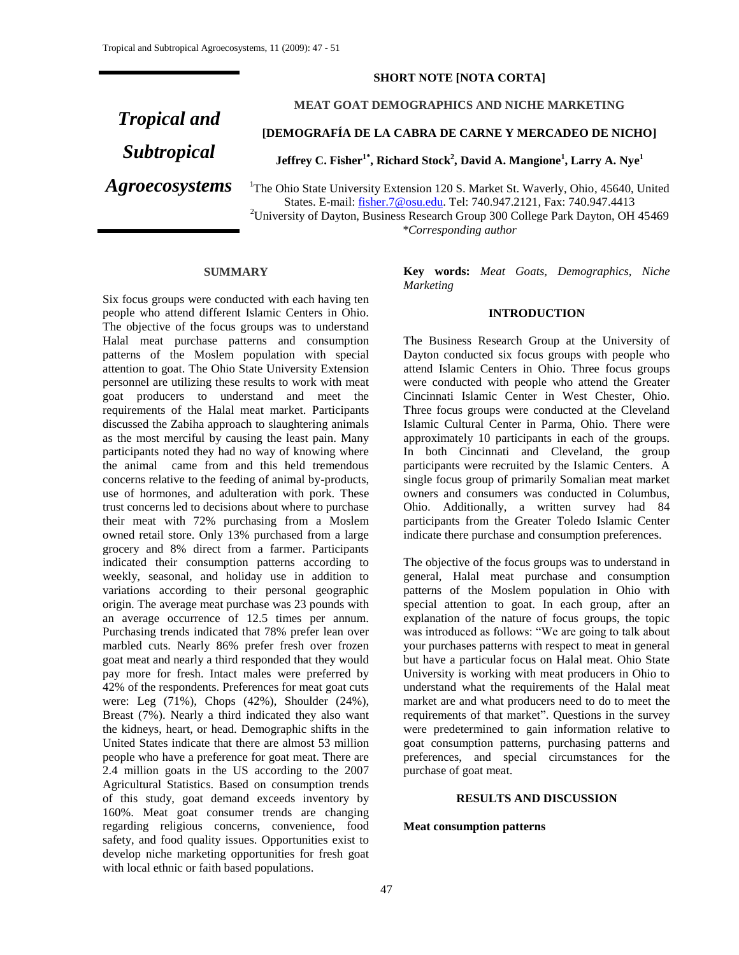## **SHORT NOTE [NOTA CORTA]**

# *Tropical and Subtropical Agroecosystems*

**MEAT GOAT DEMOGRAPHICS AND NICHE MARKETING**

**[DEMOGRAFÍA DE LA CABRA DE CARNE Y MERCADEO DE NICHO]**

**Jeffrey C. Fisher1\* , Richard Stock<sup>2</sup> , David A. Mangione<sup>1</sup> , Larry A. Nye<sup>1</sup>**

<sup>1</sup>The Ohio State University Extension 120 S. Market St. Waverly, Ohio, 45640, United States. E-mail: [fisher.7@osu.edu.](mailto:fisher.7@osu.edu) Tel: 740.947.2121, Fax: 740.947.4413 <sup>2</sup>University of Dayton, Business Research Group 300 College Park Dayton, OH 45469 *\*Corresponding author*

**SUMMARY**

Six focus groups were conducted with each having ten people who attend different Islamic Centers in Ohio. The objective of the focus groups was to understand Halal meat purchase patterns and consumption patterns of the Moslem population with special attention to goat. The Ohio State University Extension personnel are utilizing these results to work with meat goat producers to understand and meet the requirements of the Halal meat market. Participants discussed the Zabiha approach to slaughtering animals as the most merciful by causing the least pain. Many participants noted they had no way of knowing where the animal came from and this held tremendous concerns relative to the feeding of animal by-products, use of hormones, and adulteration with pork. These trust concerns led to decisions about where to purchase their meat with 72% purchasing from a Moslem owned retail store. Only 13% purchased from a large grocery and 8% direct from a farmer. Participants indicated their consumption patterns according to weekly, seasonal, and holiday use in addition to variations according to their personal geographic origin. The average meat purchase was 23 pounds with an average occurrence of 12.5 times per annum. Purchasing trends indicated that 78% prefer lean over marbled cuts. Nearly 86% prefer fresh over frozen goat meat and nearly a third responded that they would pay more for fresh. Intact males were preferred by 42% of the respondents. Preferences for meat goat cuts were: Leg (71%), Chops (42%), Shoulder (24%), Breast (7%). Nearly a third indicated they also want the kidneys, heart, or head. Demographic shifts in the United States indicate that there are almost 53 million people who have a preference for goat meat. There are 2.4 million goats in the US according to the 2007 Agricultural Statistics. Based on consumption trends of this study, goat demand exceeds inventory by 160%. Meat goat consumer trends are changing regarding religious concerns, convenience, food safety, and food quality issues. Opportunities exist to develop niche marketing opportunities for fresh goat with local ethnic or faith based populations.

**Key words:** *Meat Goats, Demographics, Niche Marketing*

## **INTRODUCTION**

The Business Research Group at the University of Dayton conducted six focus groups with people who attend Islamic Centers in Ohio. Three focus groups were conducted with people who attend the Greater Cincinnati Islamic Center in West Chester, Ohio. Three focus groups were conducted at the Cleveland Islamic Cultural Center in Parma, Ohio. There were approximately 10 participants in each of the groups. In both Cincinnati and Cleveland, the group participants were recruited by the Islamic Centers. A single focus group of primarily Somalian meat market owners and consumers was conducted in Columbus, Ohio. Additionally, a written survey had 84 participants from the Greater Toledo Islamic Center indicate there purchase and consumption preferences.

The objective of the focus groups was to understand in general, Halal meat purchase and consumption patterns of the Moslem population in Ohio with special attention to goat. In each group, after an explanation of the nature of focus groups, the topic was introduced as follows: "We are going to talk about your purchases patterns with respect to meat in general but have a particular focus on Halal meat. Ohio State University is working with meat producers in Ohio to understand what the requirements of the Halal meat market are and what producers need to do to meet the requirements of that market". Questions in the survey were predetermined to gain information relative to goat consumption patterns, purchasing patterns and preferences, and special circumstances for the purchase of goat meat.

#### **RESULTS AND DISCUSSION**

### **Meat consumption patterns**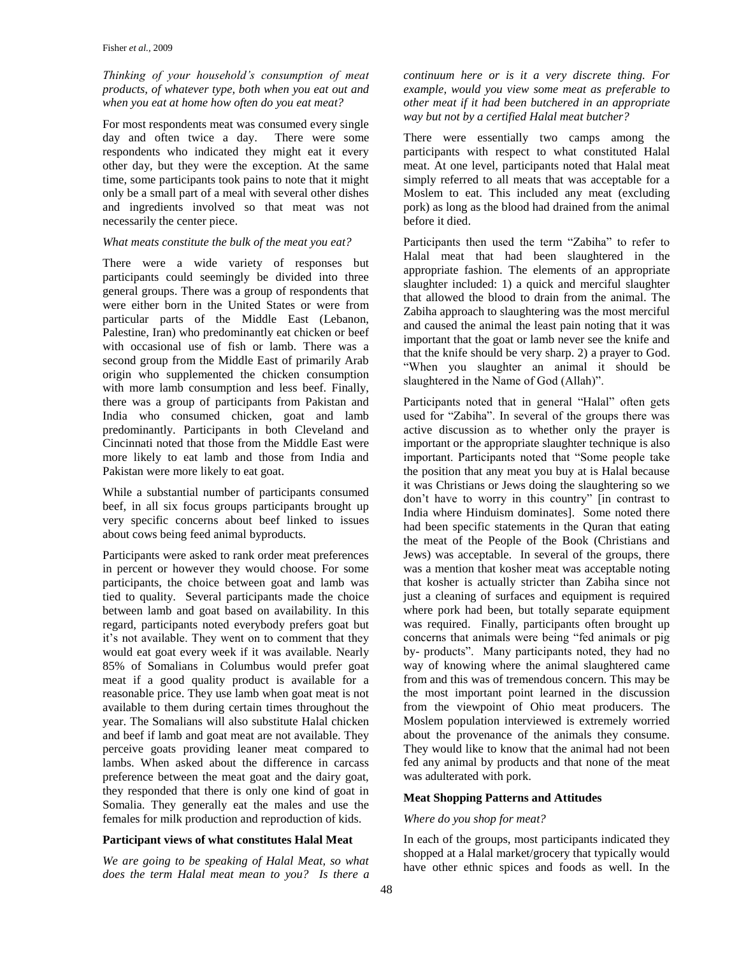## *Thinking of your household's consumption of meat products, of whatever type, both when you eat out and when you eat at home how often do you eat meat?*

For most respondents meat was consumed every single day and often twice a day. There were some respondents who indicated they might eat it every other day, but they were the exception. At the same time, some participants took pains to note that it might only be a small part of a meal with several other dishes and ingredients involved so that meat was not necessarily the center piece.

## *What meats constitute the bulk of the meat you eat?*

There were a wide variety of responses but participants could seemingly be divided into three general groups. There was a group of respondents that were either born in the United States or were from particular parts of the Middle East (Lebanon, Palestine, Iran) who predominantly eat chicken or beef with occasional use of fish or lamb. There was a second group from the Middle East of primarily Arab origin who supplemented the chicken consumption with more lamb consumption and less beef. Finally, there was a group of participants from Pakistan and India who consumed chicken, goat and lamb predominantly. Participants in both Cleveland and Cincinnati noted that those from the Middle East were more likely to eat lamb and those from India and Pakistan were more likely to eat goat.

While a substantial number of participants consumed beef, in all six focus groups participants brought up very specific concerns about beef linked to issues about cows being feed animal byproducts.

Participants were asked to rank order meat preferences in percent or however they would choose. For some participants, the choice between goat and lamb was tied to quality. Several participants made the choice between lamb and goat based on availability. In this regard, participants noted everybody prefers goat but it's not available. They went on to comment that they would eat goat every week if it was available. Nearly 85% of Somalians in Columbus would prefer goat meat if a good quality product is available for a reasonable price. They use lamb when goat meat is not available to them during certain times throughout the year. The Somalians will also substitute Halal chicken and beef if lamb and goat meat are not available. They perceive goats providing leaner meat compared to lambs. When asked about the difference in carcass preference between the meat goat and the dairy goat, they responded that there is only one kind of goat in Somalia. They generally eat the males and use the females for milk production and reproduction of kids.

#### **Participant views of what constitutes Halal Meat**

*We are going to be speaking of Halal Meat, so what does the term Halal meat mean to you? Is there a*  *continuum here or is it a very discrete thing. For example, would you view some meat as preferable to other meat if it had been butchered in an appropriate way but not by a certified Halal meat butcher?* 

There were essentially two camps among the participants with respect to what constituted Halal meat. At one level, participants noted that Halal meat simply referred to all meats that was acceptable for a Moslem to eat. This included any meat (excluding pork) as long as the blood had drained from the animal before it died.

Participants then used the term "Zabiha" to refer to Halal meat that had been slaughtered in the appropriate fashion. The elements of an appropriate slaughter included: 1) a quick and merciful slaughter that allowed the blood to drain from the animal. The Zabiha approach to slaughtering was the most merciful and caused the animal the least pain noting that it was important that the goat or lamb never see the knife and that the knife should be very sharp. 2) a prayer to God. "When you slaughter an animal it should be slaughtered in the Name of God (Allah)".

Participants noted that in general "Halal" often gets used for "Zabiha". In several of the groups there was active discussion as to whether only the prayer is important or the appropriate slaughter technique is also important. Participants noted that "Some people take the position that any meat you buy at is Halal because it was Christians or Jews doing the slaughtering so we don't have to worry in this country" [in contrast to India where Hinduism dominates]. Some noted there had been specific statements in the Quran that eating the meat of the People of the Book (Christians and Jews) was acceptable. In several of the groups, there was a mention that kosher meat was acceptable noting that kosher is actually stricter than Zabiha since not just a cleaning of surfaces and equipment is required where pork had been, but totally separate equipment was required. Finally, participants often brought up concerns that animals were being "fed animals or pig by- products". Many participants noted, they had no way of knowing where the animal slaughtered came from and this was of tremendous concern. This may be the most important point learned in the discussion from the viewpoint of Ohio meat producers. The Moslem population interviewed is extremely worried about the provenance of the animals they consume. They would like to know that the animal had not been fed any animal by products and that none of the meat was adulterated with pork.

#### **Meat Shopping Patterns and Attitudes**

#### *Where do you shop for meat?*

In each of the groups, most participants indicated they shopped at a Halal market/grocery that typically would have other ethnic spices and foods as well. In the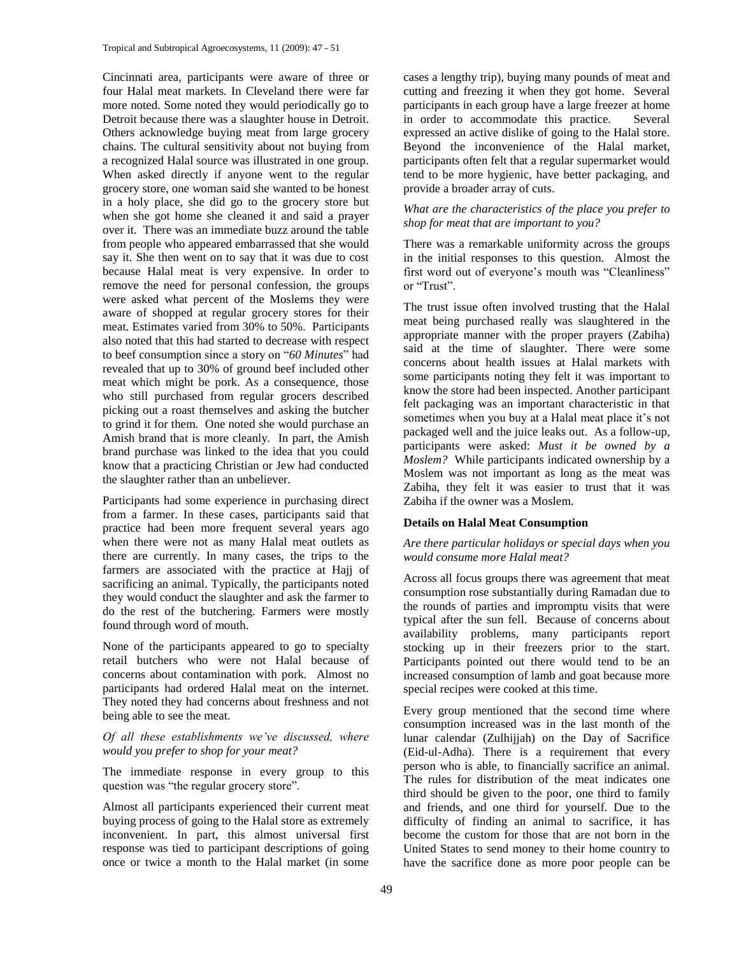Cincinnati area, participants were aware of three or four Halal meat markets. In Cleveland there were far more noted. Some noted they would periodically go to Detroit because there was a slaughter house in Detroit. Others acknowledge buying meat from large grocery chains. The cultural sensitivity about not buying from a recognized Halal source was illustrated in one group. When asked directly if anyone went to the regular grocery store, one woman said she wanted to be honest in a holy place, she did go to the grocery store but when she got home she cleaned it and said a prayer over it. There was an immediate buzz around the table from people who appeared embarrassed that she would say it. She then went on to say that it was due to cost because Halal meat is very expensive. In order to remove the need for personal confession, the groups were asked what percent of the Moslems they were aware of shopped at regular grocery stores for their meat. Estimates varied from 30% to 50%. Participants also noted that this had started to decrease with respect to beef consumption since a story on "*60 Minutes*" had revealed that up to 30% of ground beef included other meat which might be pork. As a consequence, those who still purchased from regular grocers described picking out a roast themselves and asking the butcher to grind it for them. One noted she would purchase an Amish brand that is more cleanly. In part, the Amish brand purchase was linked to the idea that you could know that a practicing Christian or Jew had conducted the slaughter rather than an unbeliever.

Participants had some experience in purchasing direct from a farmer. In these cases, participants said that practice had been more frequent several years ago when there were not as many Halal meat outlets as there are currently. In many cases, the trips to the farmers are associated with the practice at Hajj of sacrificing an animal. Typically, the participants noted they would conduct the slaughter and ask the farmer to do the rest of the butchering. Farmers were mostly found through word of mouth.

None of the participants appeared to go to specialty retail butchers who were not Halal because of concerns about contamination with pork. Almost no participants had ordered Halal meat on the internet. They noted they had concerns about freshness and not being able to see the meat.

*Of all these establishments we've discussed, where would you prefer to shop for your meat?* 

The immediate response in every group to this question was "the regular grocery store".

Almost all participants experienced their current meat buying process of going to the Halal store as extremely inconvenient. In part, this almost universal first response was tied to participant descriptions of going once or twice a month to the Halal market (in some

cases a lengthy trip), buying many pounds of meat and cutting and freezing it when they got home. Several participants in each group have a large freezer at home<br>in order to accommodate this practice. Several in order to accommodate this practice. expressed an active dislike of going to the Halal store. Beyond the inconvenience of the Halal market, participants often felt that a regular supermarket would tend to be more hygienic, have better packaging, and provide a broader array of cuts.

# *What are the characteristics of the place you prefer to shop for meat that are important to you?*

There was a remarkable uniformity across the groups in the initial responses to this question. Almost the first word out of everyone's mouth was "Cleanliness" or "Trust".

The trust issue often involved trusting that the Halal meat being purchased really was slaughtered in the appropriate manner with the proper prayers (Zabiha) said at the time of slaughter. There were some concerns about health issues at Halal markets with some participants noting they felt it was important to know the store had been inspected. Another participant felt packaging was an important characteristic in that sometimes when you buy at a Halal meat place it's not packaged well and the juice leaks out. As a follow-up, participants were asked: *Must it be owned by a Moslem?* While participants indicated ownership by a Moslem was not important as long as the meat was Zabiha, they felt it was easier to trust that it was Zabiha if the owner was a Moslem.

# **Details on Halal Meat Consumption**

## *Are there particular holidays or special days when you would consume more Halal meat?*

Across all focus groups there was agreement that meat consumption rose substantially during Ramadan due to the rounds of parties and impromptu visits that were typical after the sun fell. Because of concerns about availability problems, many participants report stocking up in their freezers prior to the start. Participants pointed out there would tend to be an increased consumption of lamb and goat because more special recipes were cooked at this time.

Every group mentioned that the second time where consumption increased was in the last month of the lunar calendar (Zulhijjah) on the Day of Sacrifice (Eid-ul-Adha). There is a requirement that every person who is able, to financially sacrifice an animal. The rules for distribution of the meat indicates one third should be given to the poor, one third to family and friends, and one third for yourself. Due to the difficulty of finding an animal to sacrifice, it has become the custom for those that are not born in the United States to send money to their home country to have the sacrifice done as more poor people can be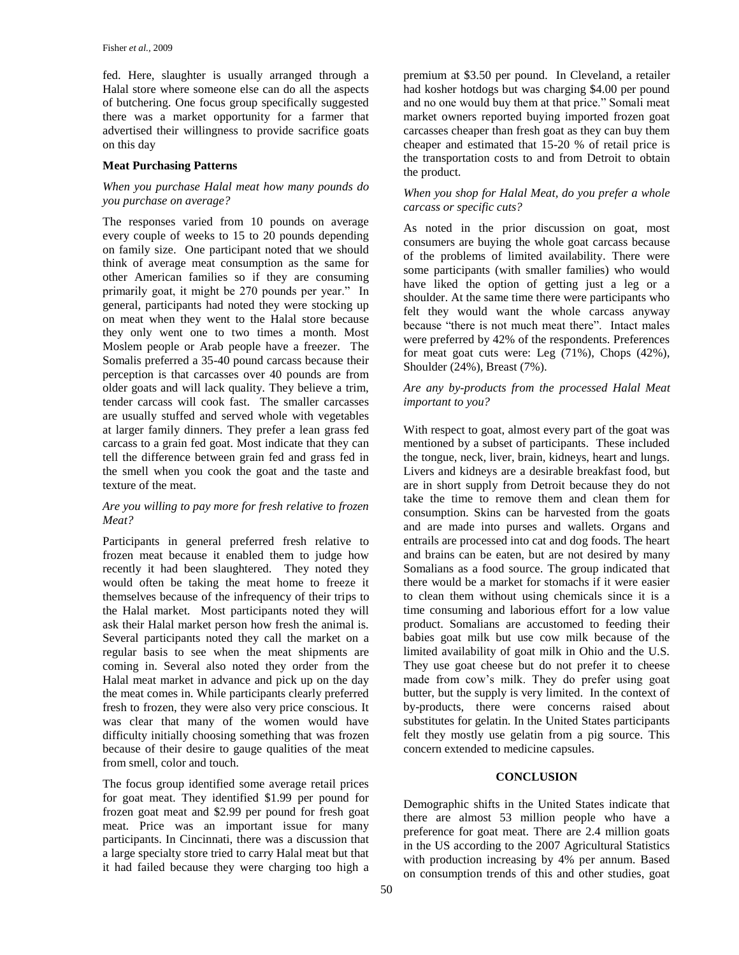fed. Here, slaughter is usually arranged through a Halal store where someone else can do all the aspects of butchering. One focus group specifically suggested there was a market opportunity for a farmer that advertised their willingness to provide sacrifice goats on this day

# **Meat Purchasing Patterns**

## *When you purchase Halal meat how many pounds do you purchase on average?*

The responses varied from 10 pounds on average every couple of weeks to 15 to 20 pounds depending on family size. One participant noted that we should think of average meat consumption as the same for other American families so if they are consuming primarily goat, it might be 270 pounds per year." In general, participants had noted they were stocking up on meat when they went to the Halal store because they only went one to two times a month. Most Moslem people or Arab people have a freezer. The Somalis preferred a 35-40 pound carcass because their perception is that carcasses over 40 pounds are from older goats and will lack quality. They believe a trim, tender carcass will cook fast. The smaller carcasses are usually stuffed and served whole with vegetables at larger family dinners. They prefer a lean grass fed carcass to a grain fed goat. Most indicate that they can tell the difference between grain fed and grass fed in the smell when you cook the goat and the taste and texture of the meat.

# *Are you willing to pay more for fresh relative to frozen Meat?*

Participants in general preferred fresh relative to frozen meat because it enabled them to judge how recently it had been slaughtered. They noted they would often be taking the meat home to freeze it themselves because of the infrequency of their trips to the Halal market. Most participants noted they will ask their Halal market person how fresh the animal is. Several participants noted they call the market on a regular basis to see when the meat shipments are coming in. Several also noted they order from the Halal meat market in advance and pick up on the day the meat comes in. While participants clearly preferred fresh to frozen, they were also very price conscious. It was clear that many of the women would have difficulty initially choosing something that was frozen because of their desire to gauge qualities of the meat from smell, color and touch.

The focus group identified some average retail prices for goat meat. They identified \$1.99 per pound for frozen goat meat and \$2.99 per pound for fresh goat meat. Price was an important issue for many participants. In Cincinnati, there was a discussion that a large specialty store tried to carry Halal meat but that it had failed because they were charging too high a

premium at \$3.50 per pound. In Cleveland, a retailer had kosher hotdogs but was charging \$4.00 per pound and no one would buy them at that price." Somali meat market owners reported buying imported frozen goat carcasses cheaper than fresh goat as they can buy them cheaper and estimated that 15-20 % of retail price is the transportation costs to and from Detroit to obtain the product.

## *When you shop for Halal Meat, do you prefer a whole carcass or specific cuts?*

As noted in the prior discussion on goat, most consumers are buying the whole goat carcass because of the problems of limited availability. There were some participants (with smaller families) who would have liked the option of getting just a leg or a shoulder. At the same time there were participants who felt they would want the whole carcass anyway because "there is not much meat there". Intact males were preferred by 42% of the respondents. Preferences for meat goat cuts were: Leg (71%), Chops (42%), Shoulder (24%), Breast (7%).

# *Are any by-products from the processed Halal Meat important to you?*

With respect to goat, almost every part of the goat was mentioned by a subset of participants. These included the tongue, neck, liver, brain, kidneys, heart and lungs. Livers and kidneys are a desirable breakfast food, but are in short supply from Detroit because they do not take the time to remove them and clean them for consumption. Skins can be harvested from the goats and are made into purses and wallets. Organs and entrails are processed into cat and dog foods. The heart and brains can be eaten, but are not desired by many Somalians as a food source. The group indicated that there would be a market for stomachs if it were easier to clean them without using chemicals since it is a time consuming and laborious effort for a low value product. Somalians are accustomed to feeding their babies goat milk but use cow milk because of the limited availability of goat milk in Ohio and the U.S. They use goat cheese but do not prefer it to cheese made from cow's milk. They do prefer using goat butter, but the supply is very limited. In the context of by-products, there were concerns raised about substitutes for gelatin. In the United States participants felt they mostly use gelatin from a pig source. This concern extended to medicine capsules.

# **CONCLUSION**

Demographic shifts in the United States indicate that there are almost 53 million people who have a preference for goat meat. There are 2.4 million goats in the US according to the 2007 Agricultural Statistics with production increasing by 4% per annum. Based on consumption trends of this and other studies, goat